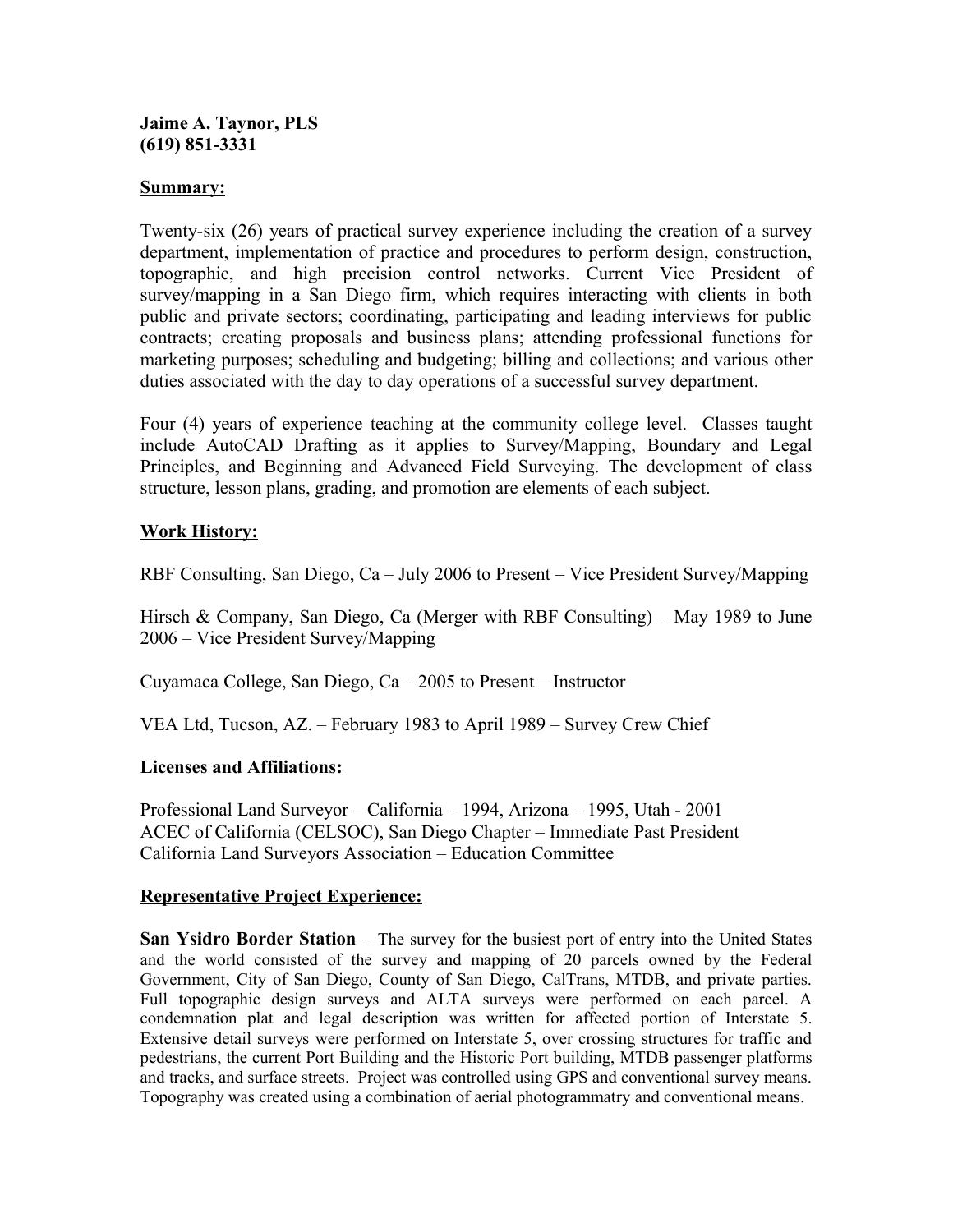#### **Jaime A. Taynor, PLS (619) 851-3331**

### **Summary:**

Twenty-six (26) years of practical survey experience including the creation of a survey department, implementation of practice and procedures to perform design, construction, topographic, and high precision control networks. Current Vice President of survey/mapping in a San Diego firm, which requires interacting with clients in both public and private sectors; coordinating, participating and leading interviews for public contracts; creating proposals and business plans; attending professional functions for marketing purposes; scheduling and budgeting; billing and collections; and various other duties associated with the day to day operations of a successful survey department.

Four (4) years of experience teaching at the community college level. Classes taught include AutoCAD Drafting as it applies to Survey/Mapping, Boundary and Legal Principles, and Beginning and Advanced Field Surveying. The development of class structure, lesson plans, grading, and promotion are elements of each subject.

### **Work History:**

RBF Consulting, San Diego, Ca – July 2006 to Present – Vice President Survey/Mapping

Hirsch & Company, San Diego, Ca (Merger with RBF Consulting) – May 1989 to June 2006 – Vice President Survey/Mapping

Cuyamaca College, San Diego, Ca – 2005 to Present – Instructor

VEA Ltd, Tucson, AZ. – February 1983 to April 1989 – Survey Crew Chief

### **Licenses and Affiliations:**

Professional Land Surveyor – California – 1994, Arizona – 1995, Utah - 2001 ACEC of California (CELSOC), San Diego Chapter – Immediate Past President California Land Surveyors Association – Education Committee

### **Representative Project Experience:**

**San Ysidro Border Station** – The survey for the busiest port of entry into the United States and the world consisted of the survey and mapping of 20 parcels owned by the Federal Government, City of San Diego, County of San Diego, CalTrans, MTDB, and private parties. Full topographic design surveys and ALTA surveys were performed on each parcel. A condemnation plat and legal description was written for affected portion of Interstate 5. Extensive detail surveys were performed on Interstate 5, over crossing structures for traffic and pedestrians, the current Port Building and the Historic Port building, MTDB passenger platforms and tracks, and surface streets. Project was controlled using GPS and conventional survey means. Topography was created using a combination of aerial photogrammatry and conventional means.